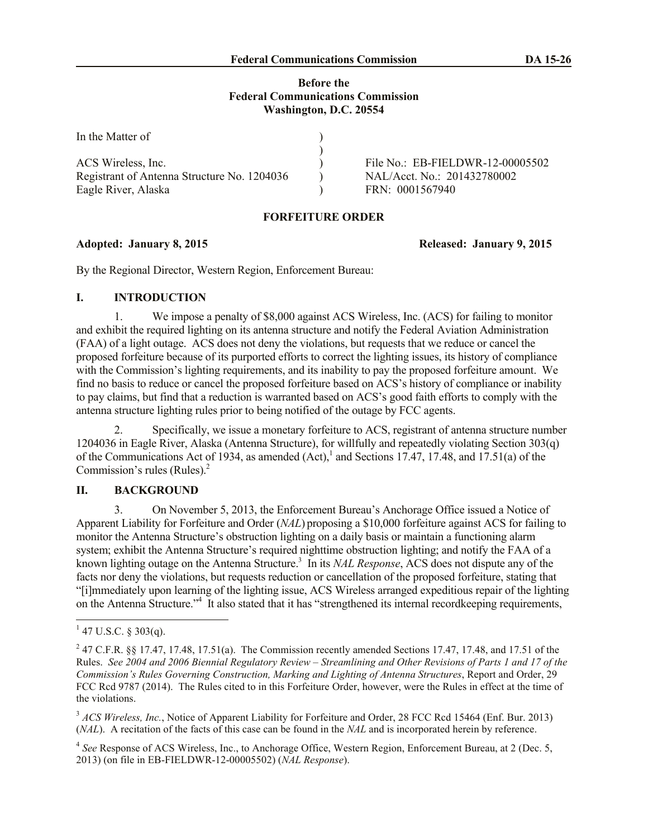## **Before the Federal Communications Commission Washington, D.C. 20554**

| In the Matter of                            |                                  |
|---------------------------------------------|----------------------------------|
|                                             |                                  |
| ACS Wireless, Inc.                          | File No.: EB-FIELDWR-12-00005502 |
| Registrant of Antenna Structure No. 1204036 | NAL/Acct. No.: 201432780002      |
| Eagle River, Alaska                         | FRN: 0001567940                  |

## **FORFEITURE ORDER**

By the Regional Director, Western Region, Enforcement Bureau:

# **I. INTRODUCTION**

1. We impose a penalty of \$8,000 against ACS Wireless, Inc. (ACS) for failing to monitor and exhibit the required lighting on its antenna structure and notify the Federal Aviation Administration (FAA) of a light outage. ACS does not deny the violations, but requests that we reduce or cancel the proposed forfeiture because of its purported efforts to correct the lighting issues, its history of compliance with the Commission's lighting requirements, and its inability to pay the proposed forfeiture amount. We find no basis to reduce or cancel the proposed forfeiture based on ACS's history of compliance or inability to pay claims, but find that a reduction is warranted based on ACS's good faith efforts to comply with the antenna structure lighting rules prior to being notified of the outage by FCC agents.

2. Specifically, we issue a monetary forfeiture to ACS, registrant of antenna structure number 1204036 in Eagle River, Alaska (Antenna Structure), for willfully and repeatedly violating Section 303(q) of the Communications Act of 1934, as amended  $(Act)$ ,<sup>1</sup> and Sections 17.47, 17.48, and 17.51(a) of the Commission's rules (Rules). 2

# **II. BACKGROUND**

3. On November 5, 2013, the Enforcement Bureau's Anchorage Office issued a Notice of Apparent Liability for Forfeiture and Order (*NAL*) proposing a \$10,000 forfeiture against ACS for failing to monitor the Antenna Structure's obstruction lighting on a daily basis or maintain a functioning alarm system; exhibit the Antenna Structure's required nighttime obstruction lighting; and notify the FAA of a known lighting outage on the Antenna Structure. 3 In its *NAL Response*, ACS does not dispute any of the facts nor deny the violations, but requests reduction or cancellation of the proposed forfeiture, stating that "[i]mmediately upon learning of the lighting issue, ACS Wireless arranged expeditious repair of the lighting on the Antenna Structure."<sup>4</sup> It also stated that it has "strengthened its internal recordkeeping requirements,

**Adopted: January 8, 2015 Released: January 9, 2015**

 $1\overline{47 \text{ U.S.C. } }$ § 303(q).

<sup>&</sup>lt;sup>2</sup> 47 C.F.R. §§ 17.47, 17.48, 17.51(a). The Commission recently amended Sections 17.47, 17.48, and 17.51 of the Rules. *See 2004 and 2006 Biennial Regulatory Review – Streamlining and Other Revisions of Parts 1 and 17 of the Commission's Rules Governing Construction, Marking and Lighting of Antenna Structures*, Report and Order, 29 FCC Rcd 9787 (2014). The Rules cited to in this Forfeiture Order, however, were the Rules in effect at the time of the violations.

<sup>&</sup>lt;sup>3</sup> *ACS Wireless, Inc.*, Notice of Apparent Liability for Forfeiture and Order, 28 FCC Rcd 15464 (Enf. Bur. 2013) (*NAL*). A recitation of the facts of this case can be found in the *NAL* and is incorporated herein by reference.

<sup>&</sup>lt;sup>4</sup> See Response of ACS Wireless, Inc., to Anchorage Office, Western Region, Enforcement Bureau, at 2 (Dec. 5, 2013) (on file in EB-FIELDWR-12-00005502) (*NAL Response*).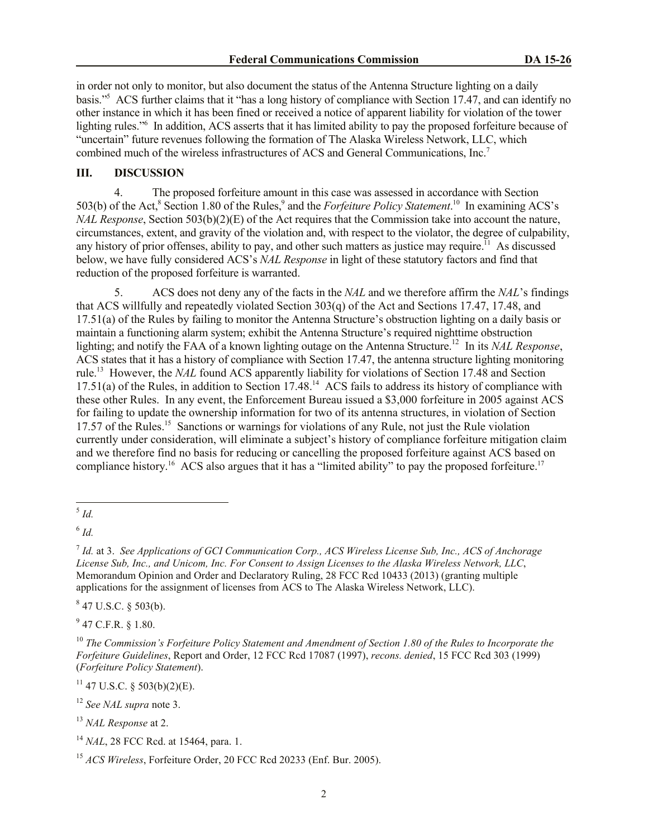in order not only to monitor, but also document the status of the Antenna Structure lighting on a daily basis."<sup>5</sup> ACS further claims that it "has a long history of compliance with Section 17.47, and can identify no other instance in which it has been fined or received a notice of apparent liability for violation of the tower lighting rules."<sup>6</sup> In addition, ACS asserts that it has limited ability to pay the proposed forfeiture because of "uncertain" future revenues following the formation of The Alaska Wireless Network, LLC, which combined much of the wireless infrastructures of ACS and General Communications, Inc. 7

## **III. DISCUSSION**

4. The proposed forfeiture amount in this case was assessed in accordance with Section 503(b) of the Act,<sup>8</sup> Section 1.80 of the Rules,<sup>9</sup> and the *Forfeiture Policy Statement*.<sup>10</sup> In examining ACS's *NAL Response*, Section 503(b)(2)(E) of the Act requires that the Commission take into account the nature, circumstances, extent, and gravity of the violation and, with respect to the violator, the degree of culpability, any history of prior offenses, ability to pay, and other such matters as justice may require.<sup>11</sup> As discussed below, we have fully considered ACS's *NAL Response* in light of these statutory factors and find that reduction of the proposed forfeiture is warranted.

5. ACS does not deny any of the facts in the *NAL* and we therefore affirm the *NAL*'s findings that ACS willfully and repeatedly violated Section 303(q) of the Act and Sections 17.47, 17.48, and 17.51(a) of the Rules by failing to monitor the Antenna Structure's obstruction lighting on a daily basis or maintain a functioning alarm system; exhibit the Antenna Structure's required nighttime obstruction lighting; and notify the FAA of a known lighting outage on the Antenna Structure. 12 In its *NAL Response*, ACS states that it has a history of compliance with Section 17.47, the antenna structure lighting monitoring rule. 13 However, the *NAL* found ACS apparently liability for violations of Section 17.48 and Section 17.51(a) of the Rules, in addition to Section 17.48.<sup>14</sup> ACS fails to address its history of compliance with these other Rules. In any event, the Enforcement Bureau issued a \$3,000 forfeiture in 2005 against ACS for failing to update the ownership information for two of its antenna structures, in violation of Section 17.57 of the Rules.<sup>15</sup> Sanctions or warnings for violations of any Rule, not just the Rule violation currently under consideration, will eliminate a subject's history of compliance forfeiture mitigation claim and we therefore find no basis for reducing or cancelling the proposed forfeiture against ACS based on compliance history.<sup>16</sup> ACS also argues that it has a "limited ability" to pay the proposed forfeiture.<sup>17</sup>

 $847$  U.S.C. § 503(b).

 $9$  47 C.F.R. § 1.80.

 $11$  47 U.S.C. § 503(b)(2)(E).

<sup>12</sup> *See NAL supra* note 3.

<sup>13</sup> *NAL Response* at 2.

 5 *Id.*

<sup>6</sup> *Id.*

<sup>7</sup> *Id.* at 3. *See Applications of GCI Communication Corp., ACS Wireless License Sub, Inc., ACS of Anchorage License Sub, Inc., and Unicom, Inc. For Consent to Assign Licenses to the Alaska Wireless Network, LLC*, Memorandum Opinion and Order and Declaratory Ruling, 28 FCC Rcd 10433 (2013) (granting multiple applications for the assignment of licenses from ACS to The Alaska Wireless Network, LLC).

<sup>10</sup> *The Commission's Forfeiture Policy Statement and Amendment of Section 1.80 of the Rules to Incorporate the Forfeiture Guidelines*, Report and Order, 12 FCC Rcd 17087 (1997), *recons. denied*, 15 FCC Rcd 303 (1999) (*Forfeiture Policy Statement*).

<sup>14</sup> *NAL*, 28 FCC Rcd. at 15464, para. 1.

<sup>15</sup> *ACS Wireless*, Forfeiture Order, 20 FCC Rcd 20233 (Enf. Bur. 2005).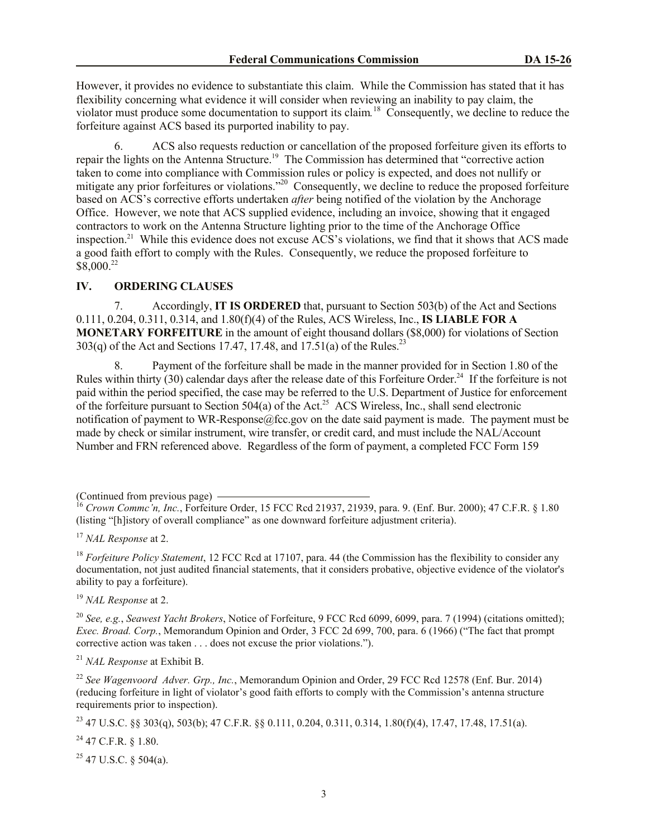However, it provides no evidence to substantiate this claim. While the Commission has stated that it has flexibility concerning what evidence it will consider when reviewing an inability to pay claim, the violator must produce some documentation to support its claim*.* 18 Consequently, we decline to reduce the forfeiture against ACS based its purported inability to pay.

6. ACS also requests reduction or cancellation of the proposed forfeiture given its efforts to repair the lights on the Antenna Structure.<sup>19</sup> The Commission has determined that "corrective action taken to come into compliance with Commission rules or policy is expected, and does not nullify or mitigate any prior forfeitures or violations."<sup>20</sup> Consequently, we decline to reduce the proposed forfeiture based on ACS's corrective efforts undertaken *after* being notified of the violation by the Anchorage Office. However, we note that ACS supplied evidence, including an invoice, showing that it engaged contractors to work on the Antenna Structure lighting prior to the time of the Anchorage Office inspection.<sup>21</sup> While this evidence does not excuse ACS's violations, we find that it shows that ACS made a good faith effort to comply with the Rules. Consequently, we reduce the proposed forfeiture to \$8,000.<sup>22</sup>

## **IV. ORDERING CLAUSES**

7. Accordingly, **IT IS ORDERED** that, pursuant to Section 503(b) of the Act and Sections 0.111, 0.204, 0.311, 0.314, and 1.80(f)(4) of the Rules, ACS Wireless, Inc., **IS LIABLE FOR A MONETARY FORFEITURE** in the amount of eight thousand dollars (\$8,000) for violations of Section 303(q) of the Act and Sections 17.47, 17.48, and  $17.51(a)$  of the Rules.<sup>23</sup>

8. Payment of the forfeiture shall be made in the manner provided for in Section 1.80 of the Rules within thirty  $(30)$  calendar days after the release date of this Forfeiture Order.<sup>24</sup> If the forfeiture is not paid within the period specified, the case may be referred to the U.S. Department of Justice for enforcement of the forfeiture pursuant to Section 504(a) of the Act.<sup>25</sup> ACS Wireless, Inc., shall send electronic notification of payment to WR-Response@fcc.gov on the date said payment is made. The payment must be made by check or similar instrument, wire transfer, or credit card, and must include the NAL/Account Number and FRN referenced above. Regardless of the form of payment, a completed FCC Form 159

(Continued from previous page)

<sup>19</sup> *NAL Response* at 2.

<sup>20</sup> *See, e.g.*, *Seawest Yacht Brokers*, Notice of Forfeiture, 9 FCC Rcd 6099, 6099, para. 7 (1994) (citations omitted); *Exec. Broad. Corp.*, Memorandum Opinion and Order, 3 FCC 2d 699, 700, para. 6 (1966) ("The fact that prompt corrective action was taken . . . does not excuse the prior violations.").

<sup>21</sup> *NAL Response* at Exhibit B.

<sup>22</sup> *See Wagenvoord Adver. Grp., Inc.*, Memorandum Opinion and Order, 29 FCC Rcd 12578 (Enf. Bur. 2014) (reducing forfeiture in light of violator's good faith efforts to comply with the Commission's antenna structure requirements prior to inspection).

<sup>23</sup> 47 U.S.C. §§ 303(q), 503(b); 47 C.F.R. §§ 0.111, 0.204, 0.311, 0.314, 1.80(f)(4), 17.47, 17.48, 17.51(a).

 $^{24}$  47 C.F.R. § 1.80.

 $25$  47 U.S.C. § 504(a).

<sup>16</sup> *Crown Commc'n, Inc.*, Forfeiture Order, 15 FCC Rcd 21937, 21939, para. 9. (Enf. Bur. 2000); 47 C.F.R. § 1.80 (listing "[h]istory of overall compliance" as one downward forfeiture adjustment criteria).

<sup>17</sup> *NAL Response* at 2.

<sup>&</sup>lt;sup>18</sup> *Forfeiture Policy Statement*, 12 FCC Rcd at 17107, para. 44 (the Commission has the flexibility to consider any documentation, not just audited financial statements, that it considers probative, objective evidence of the violator's ability to pay a forfeiture).